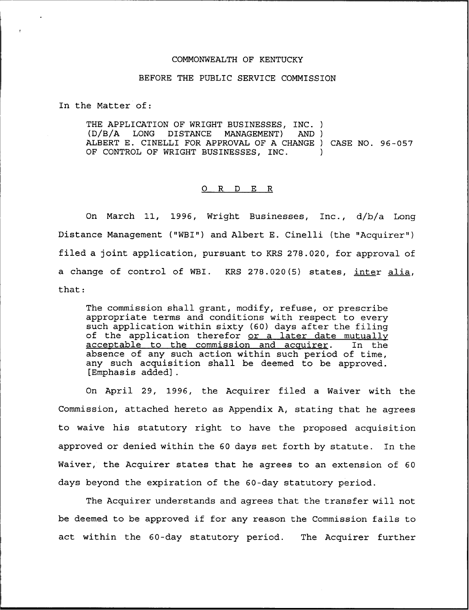## COMMONWEALTH OF KENTUCKY

## BEFORE THE PUBLIC SERVICE COMMISSION

In the Matter of:

THE APPLICATION OF WRIGHT BUSINESSES, INC. )<br>(D/B/A LONG DISTANCE MANAGEMENT) AND ) MANAGEMENT) ALBERT E. CINELLI FOR APPROVAL OF <sup>A</sup> CHANGE ) CASE NO. 96-057 OF CONTROL OF WRIGHT BUSINESSES, INC.

#### 0 R <sup>D</sup> E R

On March 11, 1996, Wright Businesses, Inc., d/b/a Long Distance Management ("WBI") and Albert E. Cinelli (the "Acquirer" ) filed a joint application, pursuant to KRS 278.020, for approval of a change of control of WBI. KRS 278.020(5) states, inter alia, that:

The commission shall grant, modify, refuse, or prescribe appropriate terms and conditions with respect to every such application within sixty (60) days after the filing of the application therefor <u>or a later date mutually</u><br>acceptable to the commission and acquirer. In the acceptable to the commission and acquirer. absence of any such action within such period of time, any such acquisition shall be deemed to be approved. [Emphasis added] .

On April 29, 1996, the Acquirer filed a Waiver with the Commission, attached hereto as Appendix A, stating that he agrees to waive his statutory right to have the proposed acquisition approved or denied within the 60 days set forth by statute. In the Waiver, the Acquirer states that he agrees to an extension of 60 days beyond the expiration of the 60-day statutory period.

The Acquirer understands and agrees that the transfer will not be deemed to be approved if for any reason the Commission fails to act within the 60-day statutory period. The Acquirer further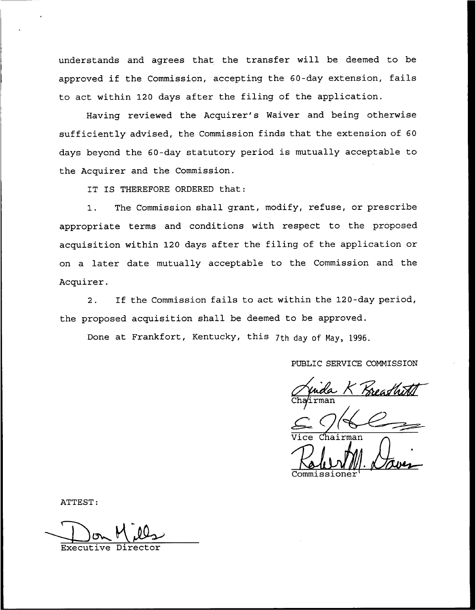understands and agrees that the transfer will be deemed to be approved if the Commission, accepting the 60-day extension, fails to act within 120 days after the filing of the application.

Having reviewed the Acquirer's Waiver and being otherwise sufficiently advised, the Commission finds that the extension of 60 days beyond the 60-day statutory period is mutually acceptable to the Acquirer and the Commission.

IT IS THEREFORE ORDERED that:

1. The Commission shall grant, modify, refuse, or prescribe appropriate terms and conditions with respect to the proposed acquisition within 120 days after the filing of the application or on a later date mutually acceptable to the Commission and the Acquirer.

2. If the Commission fails to act within the 120-day period, the proposed acquisition shall be deemed to be approved.

Done at Frankfort, Kentucky, this 7th day of May, 1996.

PUBLIC SERVICE COMMISSION

<u>nda K Kreag</u><br>.rman

Vice Chairma

ATTEST:

Executive Director